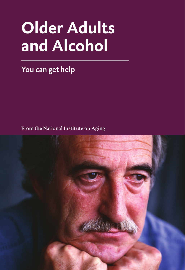# **Older Adults and Alcohol**

You can get help

From the National Institute on Aging

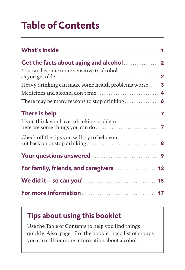## **Table of Contents**

| You can become more sensitive to alcohol                             |  |
|----------------------------------------------------------------------|--|
| Heavy drinking can make some health problems worse $\ldots \ldots$ 3 |  |
|                                                                      |  |
| There may be many reasons to stop drinking 6                         |  |
|                                                                      |  |
| If you think you have a drinking problem,                            |  |
| Check off the tips you will try to help you                          |  |
|                                                                      |  |
| For family, friends, and caregivers  12                              |  |
|                                                                      |  |
|                                                                      |  |

#### **Tips about using this booklet**

Use the Table of Contents to help you find things quickly. Also, page 17 of the booklet has a list of groups you can call for more information about alcohol.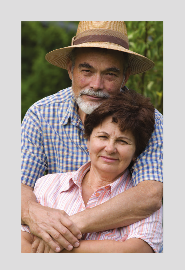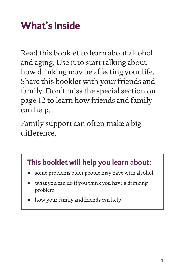Read this booklet to learn about alcohol and aging. Use it to start talking about how drinking may be affecting your life. Share this booklet with your friends and family. Don't miss the special section on page 12 to learn how friends and family can help.

Family support can often make a big difference.

## **This booklet will help you learn about:**

- some problems older people may have with alcohol
- what you can do if you think you have a drinking problem
- **●** how your family and friends can help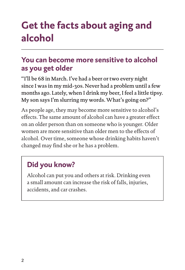## **Get the facts about aging and alcohol**

#### **You can become more sensitive to alcohol as you get older**

"I'll be 68 in March. I've had a beer or two every night since I was in my mid-30s. Never had a problem until a few months ago. Lately, when I drink my beer, I feel a little tipsy. My son says I'm slurring my words. What's going on?"

As people age, they may become more sensitive to alcohol's effects. The same amount of alcohol can have a greater effect on an older person than on someone who is younger. Older women are more sensitive than older men to the effects of alcohol. Over time, someone whose drinking habits haven't changed may find she or he has a problem.

### **Did you know?**

Alcohol can put you and others at risk. Drinking even a small amount can increase the risk of falls, injuries, accidents, and car crashes.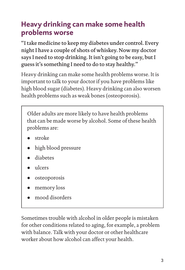### **Heavy drinking can make some health problems worse**

"I take medicine to keep my diabetes under control. Every night I have a couple of shots of whiskey. Now my doctor says I need to stop drinking. It isn't going to be easy, but I guess it's something I need to do to stay healthy."

Heavy drinking can make some health problems worse. It is important to talk to your doctor if you have problems like high blood sugar (diabetes). Heavy drinking can also worsen health problems such as weak bones (osteoporosis).

Older adults are more likely to have health problems that can be made worse by alcohol. Some of these health problems are:

- **●** stroke
- **●** high blood pressure
- **●** diabetes
- **●** ulcers
- **●** osteoporosis
- **●** memory loss
- **●** mood disorders

Sometimes trouble with alcohol in older people is mistaken for other conditions related to aging, for example, a problem with balance. Talk with your doctor or other healthcare worker about how alcohol can affect your health.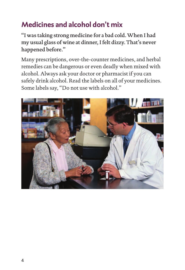## **Medicines and alcohol don't mix**

"I was taking strong medicine for a bad cold. When I had my usual glass of wine at dinner, I felt dizzy. That's never happened before."

Many prescriptions, over-the-counter medicines, and herbal remedies can be dangerous or even deadly when mixed with alcohol. Always ask your doctor or pharmacist if you can safely drink alcohol. Read the labels on all of your medicines. Some labels say, "Do not use with alcohol."

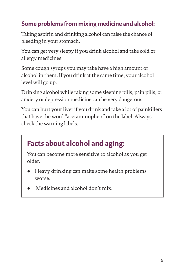#### **Some problems from mixing medicine and alcohol:**

Taking aspirin and drinking alcohol can raise the chance of bleeding in your stomach.

You can get very sleepy if you drink alcohol and take cold or allergy medicines.

Some cough syrups you may take have a high amount of alcohol in them. If you drink at the same time, your alcohol level will go up.

Drinking alcohol while taking some sleeping pills, pain pills, or anxiety or depression medicine can be very dangerous.

You can hurt your liver if you drink and take a lot of painkillers that have the word "acetaminophen" on the label. Always check the warning labels.

## **Facts about alcohol and aging:**

You can become more sensitive to alcohol as you get older.

- **●** Heavy drinking can make some health problems worse.
- **●** Medicines and alcohol don't mix.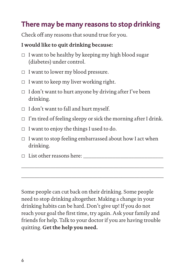### **There may be many reasons to stop drinking**

Check off any reasons that sound true for you.

#### **I would like to quit drinking because:**

- $\Box$  I want to be healthy by keeping my high blood sugar (diabetes) under control.
- $\Box$  I want to lower my blood pressure.
- $\Box$  I want to keep my liver working right.
- $\Box$  I don't want to hurt anyone by driving after I've been drinking.
- $\Box$  I don't want to fall and hurt myself.
- $\Box$  I'm tired of feeling sleepy or sick the morning after I drink.
- $\Box$  I want to enjoy the things I used to do.
- $\Box$  I want to stop feeling embarrassed about how I act when drinking.

\_\_\_\_\_\_\_\_\_\_\_\_\_\_\_\_\_\_\_\_\_\_\_\_\_\_\_\_\_\_\_\_\_\_\_\_\_\_\_\_\_\_\_\_\_\_\_\_\_\_\_\_\_\_

\_\_\_\_\_\_\_\_\_\_\_\_\_\_\_\_\_\_\_\_\_\_\_\_\_\_\_\_\_\_\_\_\_\_\_\_\_\_\_\_\_\_\_\_\_\_\_\_\_\_\_\_\_\_

 $\Box$  List other reasons here:

Some people can cut back on their drinking. Some people need to stop drinking altogether. Making a change in your drinking habits can be hard. Don't give up! If you do not reach your goal the first time, try again. Ask your family and friends for help. Talk to your doctor if you are having trouble quitting. **Get the help you need.**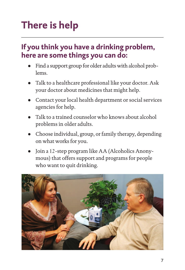## **There is help**

#### **If you think you have a drinking problem, here are some things you can do:**

- Find a support group for older adults with alcohol problems.
- **●** Talk to a healthcare professional like your doctor. Ask your doctor about medicines that might help.
- **●** Contact your local health department or social services agencies for help.
- **●** Talk to a trained counselor who knows about alcohol problems in older adults.
- **●** Choose individual, group, or family therapy, depending on what works for you.
- **●** Join a 12-step program like AA (Alcoholics Anonymous) that offers support and programs for people who want to quit drinking.

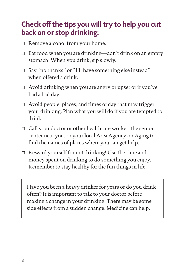### **Check off the tips you will try to help you cut back on or stop drinking:**

- $\Box$  Remove alcohol from your home.
- $\Box$  Eat food when you are drinking—don't drink on an empty stomach. When you drink, sip slowly.
- $\Box$  Say "no thanks" or "I'll have something else instead" when offered a drink.
- $\Box$  Avoid drinking when you are angry or upset or if you've had a bad day.
- $\Box$  Avoid people, places, and times of day that may trigger your drinking. Plan what you will do if you are tempted to drink.
- $\Box$  Call your doctor or other healthcare worker, the senior center near you, or your local Area Agency on Aging to find the names of places where you can get help.
- $\Box$  Reward yourself for not drinking! Use the time and money spent on drinking to do something you enjoy. Remember to stay healthy for the fun things in life.

Have you been a heavy drinker for years or do you drink often? It is important to talk to your doctor before making a change in your drinking. There may be some side effects from a sudden change. Medicine can help.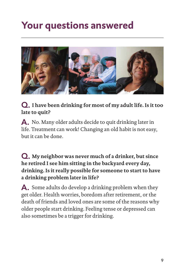## **Your questions answered**



Q. **I have been drinking for most of my adult life. Is it too late to quit?**

A. No. Many older adults decide to quit drinking later in life. Treatment can work! Changing an old habit is not easy, but it can be done.

Q. **My neighbor was never much of a drinker, but since he retired I see him sitting in the backyard every day, drinking. Is it really possible for someone to start to have a drinking problem later in life?**

A. Some adults do develop a drinking problem when they get older. Health worries, boredom after retirement, or the death of friends and loved ones are some of the reasons why older people start drinking. Feeling tense or depressed can also sometimes be a trigger for drinking.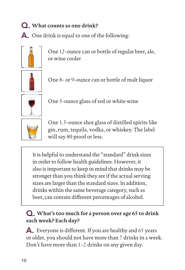#### Q. **What counts as one drink?**

A. One drink is equal to one of the following:



One 12-ounce can or bottle of regular beer, ale, or wine cooler



One 8- or 9-ounce can or bottle of malt liquor



One 5-ounce glass of red or white wine



One 1.5-ounce shot glass of distilled spirits like gin, rum, tequila, vodka, or whiskey. The label will say 80 proof or less.

It is helpful to understand the "standard" drink sizes in order to follow health guidelines. However, it also is important to keep in mind that drinks may be stronger than you think they are if the actual serving sizes are larger than the standard sizes. In addition, drinks within the same beverage category, such as beer, can contain different percentages of alcohol.

#### Q. **What's too much for a person over age 65 to drink each week? Each day?**

A. Everyone is different. If you are healthy and 65 years or older, you should not have more than 7 drinks in a week. Don't have more than 1–2 drinks on any given day.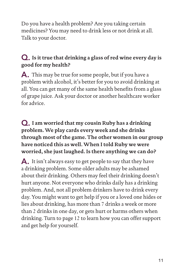Do you have a health problem? Are you taking certain medicines? You may need to drink less or not drink at all. Talk to your doctor.

#### Q. **Is it true that drinking a glass of red wine every day is good for my health?**

A. This may be true for some people, but if you have a problem with alcohol, it's better for you to avoid drinking at all. You can get many of the same health benefits from a glass of grape juice. Ask your doctor or another healthcare worker for advice.

#### Q. **I am worried that my cousin Ruby has a drinking problem. We play cards every week and she drinks through most of the game. The other women in our group have noticed this as well. When I told Ruby we were worried, she just laughed. Is there anything we can do?**

 $\mathsf{A}.$  It isn't always easy to get people to say that they have a drinking problem. Some older adults may be ashamed about their drinking. Others may feel their drinking doesn't hurt anyone. Not everyone who drinks daily has a drinking problem. And, not all problem drinkers have to drink every day. You might want to get help if you or a loved one hides or lies about drinking, has more than 7 drinks a week or more than 2 drinks in one day, or gets hurt or harms others when drinking. Turn to page 12 to learn how you can offer support and get help for yourself.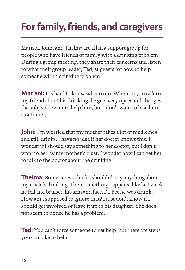## **For family, friends, and caregivers**

Marisol, John, and Thelma are all in a support group for people who have friends or family with a drinking problem. During a group meeting, they share their concerns and listen to what their group leader, Ted, suggests for how to help someone with a drinking problem.

**Marisol:** It's hard to know what to do. When I try to talk to my friend about his drinking, he gets very upset and changes the subject. I want to help him, but I don't want to lose him as a friend.

**John:** I'm worried that my mother takes a lot of medicines and still drinks. I have no idea if her doctor knows this. I wonder if I should say something to her doctor, but I don't want to betray my mother's trust. I wonder how I can get her to talk to the doctor about the drinking.

**Thelma:** Sometimes I think I shouldn't say anything about my uncle's drinking. Then something happens, like last week he fell and bruised his arm and face. I'll bet he was drunk. How am I supposed to ignore that? I just don't know if I should get involved or leave it up to his daughter. She does not seem to notice he has a problem.

**Ted:** You can't force someone to get help, but there are steps you can take to help.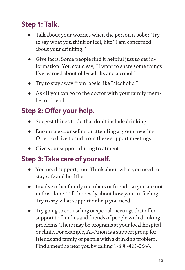## **Step** 1**: Talk.**

- Talk about your worries when the person is sober. Try to say what you think or feel, like "I am concerned about your drinking."
- **●** Give facts. Some people find it helpful just to get information. You could say, "I want to share some things I've learned about older adults and alcohol."
- **●** Try to stay away from labels like "alcoholic."
- **●** Ask if you can go to the doctor with your family member or friend.

### **Step** 2**: Offer your help.**

- **●** Suggest things to do that don't include drinking.
- **●** Encourage counseling or attending a group meeting. Offer to drive to and from these support meetings.
- **●** Give your support during treatment.

### **Step** 3**: Take care of yourself.**

- **●** You need support, too. Think about what you need to stay safe and healthy.
- **●** Involve other family members or friends so you are not in this alone. Talk honestly about how you are feeling. Try to say what support or help you need.
- **●** Try going to counseling or special meetings that offer support to families and friends of people with drinking problems. There may be programs at your local hospital or clinic. For example, Al-Anon is a support group for friends and family of people with a drinking problem. Find a meeting near you by calling 1-888-425-2666.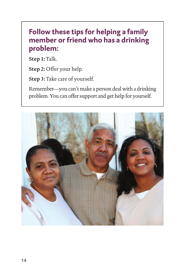#### **Follow these tips for helping a family member or friend who has a drinking problem:**

**Step 1:** Talk.

**Step 2:** Offer your help.

**Step 3:** Take care of yourself.

Remember—you can't make a person deal with a drinking problem. You can offer support and get help for yourself.

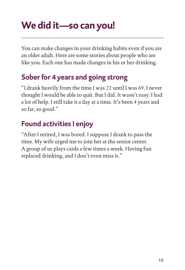## **We did it—so can you!**

You can make changes in your drinking habits even if you are an older adult. Here are some stories about people who are like you. Each one has made changes in his or her drinking.

### **Sober for** 4 **years and going strong**

"I drank heavily from the time I was 22 until I was 69. I never thought I would be able to quit. But I did. It wasn't easy. I had a lot of help. I still take it a day at a time. It's been 4 years and so far, so good."

## **Found activities I enjoy**

"After I retired, I was bored. I suppose I drank to pass the time. My wife urged me to join her at the senior center. A group of us plays cards a few times a week. Having fun replaced drinking, and I don't even miss it."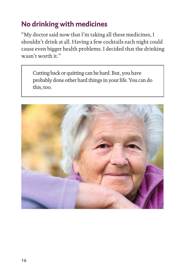## **No drinking with medicines**

"My doctor said now that I'm taking all these medicines, I shouldn't drink at all. Having a few cocktails each night could cause even bigger health problems. I decided that the drinking wasn't worth it."

Cutting back or quitting can be hard. But, you have probably done other hard things in your life. You can do this, too.

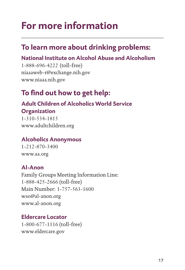## **For more information**

### **To learn more about drinking problems:**

#### **National Institute on Alcohol Abuse and Alcoholism**

1-888-696-4222 (toll-free) niaaaweb-r@exchange.nih.gov www.niaaa.nih.gov

#### **To find out how to get help:**

#### **Adult Children of Alcoholics World Service Organization**

1-310-534-1815 www.adultchildren.org

#### **Alcoholics Anonymous**

1-212-870-3400 www.aa.org

#### **Al-Anon**

Family Groups Meeting Information Line: 1-888-425-2666 (toll-free) Main Number: 1-757-563-1600 wso@al-anon.org www.al-anon.org

#### **Eldercare Locator** 1-800-677-1116 (toll-free)

www.eldercare.gov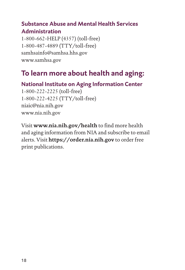#### **Substance Abuse and Mental Health Services Administration**

1-800-662-HELP (4357) (toll-free) 1-800-487-4889 (TTY/toll-free) samhsainfo@samhsa.hhs.gov www.samhsa.gov

## **To learn more about health and aging:**

#### **National Institute on Aging Information Center**

1-800-222-2225 (toll-free) 1-800-222-4225 (TTY/toll-free) niaic@nia.nih.gov www.nia.nih.gov

Visit **www.nia.nih.gov/health** to find more health and aging information from NIA and subscribe to email alerts. Visit **https://order.nia.nih.gov** to order free print publications.